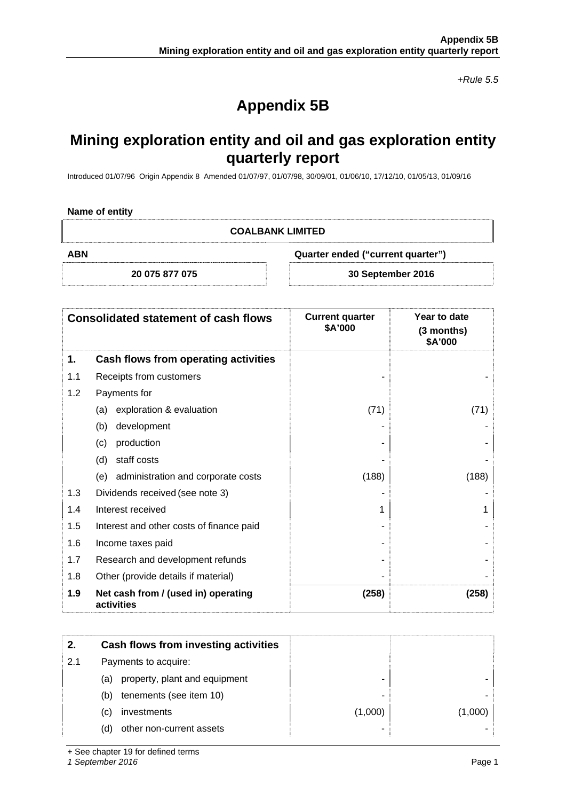*+Rule 5.5* 

# **Appendix 5B**

## **Mining exploration entity and oil and gas exploration entity quarterly report**

Introduced 01/07/96 Origin Appendix 8 Amended 01/07/97, 01/07/98, 30/09/01, 01/06/10, 17/12/10, 01/05/13, 01/09/16

#### **Name of entity**

**COALBANK LIMITED** 

**ABN Quarter ended ("current quarter")** 

**20 075 877 075 30 September 2016** 

| <b>Consolidated statement of cash flows</b> |                                                   | <b>Current quarter</b><br>\$A'000 | Year to date<br>(3 months)<br>\$A'000 |
|---------------------------------------------|---------------------------------------------------|-----------------------------------|---------------------------------------|
| 1.                                          | Cash flows from operating activities              |                                   |                                       |
| 1.1                                         | Receipts from customers                           |                                   |                                       |
| 1.2                                         | Payments for                                      |                                   |                                       |
|                                             | exploration & evaluation<br>(a)                   | (71)                              | (71)                                  |
|                                             | development<br>(b)                                |                                   |                                       |
|                                             | production<br>(c)                                 |                                   |                                       |
|                                             | staff costs<br>(d)                                |                                   |                                       |
|                                             | (e) administration and corporate costs            | (188)                             | (188)                                 |
| 1.3                                         | Dividends received (see note 3)                   |                                   |                                       |
| 1.4                                         | Interest received                                 |                                   |                                       |
| 1.5                                         | Interest and other costs of finance paid          |                                   |                                       |
| 1.6                                         | Income taxes paid                                 |                                   |                                       |
| 1.7                                         | Research and development refunds                  |                                   |                                       |
| 1.8                                         | Other (provide details if material)               |                                   |                                       |
| 1.9                                         | Net cash from / (used in) operating<br>activities | (258)                             | (258)                                 |

| 2.  | Cash flows from investing activities |         |         |
|-----|--------------------------------------|---------|---------|
| 2.1 | Payments to acquire:                 |         |         |
|     | property, plant and equipment<br>(a) |         |         |
|     | tenements (see item 10)<br>(b)       |         |         |
|     | investments<br>(C)                   | (1,000) | (1,000) |
|     | other non-current assets<br>(d)      |         |         |

+ See chapter 19 for defined terms

*1 September 2016* Page 1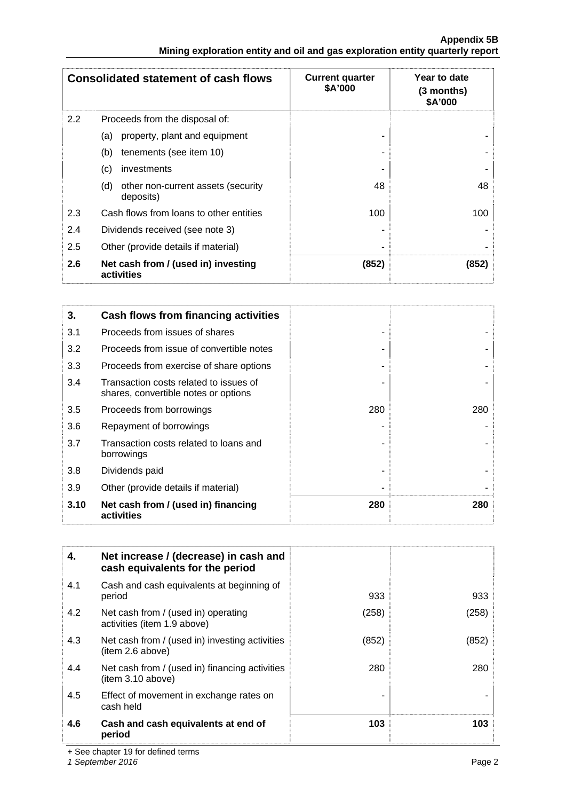#### **Appendix 5B Mining exploration entity and oil and gas exploration entity quarterly report**

|     | <b>Consolidated statement of cash flows</b>            | <b>Current quarter</b><br>\$A'000 | Year to date<br>$(3$ months)<br>\$A'000 |
|-----|--------------------------------------------------------|-----------------------------------|-----------------------------------------|
| 2.2 | Proceeds from the disposal of:                         |                                   |                                         |
|     | property, plant and equipment<br>(a)                   |                                   |                                         |
|     | tenements (see item 10)<br>(b)                         |                                   |                                         |
|     | (c)<br>investments                                     |                                   |                                         |
|     | (d)<br>other non-current assets (security<br>deposits) | 48                                | 48                                      |
| 2.3 | Cash flows from loans to other entities                | 100                               | 100                                     |
| 2.4 | Dividends received (see note 3)                        |                                   |                                         |
| 2.5 | Other (provide details if material)                    |                                   |                                         |
| 2.6 | Net cash from / (used in) investing<br>activities      | (852)                             | (852)                                   |

| 3.   | Cash flows from financing activities                                           |     |     |
|------|--------------------------------------------------------------------------------|-----|-----|
| 3.1  | Proceeds from issues of shares                                                 |     |     |
| 3.2  | Proceeds from issue of convertible notes                                       |     |     |
| 3.3  | Proceeds from exercise of share options                                        |     |     |
| 3.4  | Transaction costs related to issues of<br>shares, convertible notes or options |     |     |
| 3.5  | Proceeds from borrowings                                                       | 280 | 280 |
| 3.6  | Repayment of borrowings                                                        |     |     |
| 3.7  | Transaction costs related to loans and<br>borrowings                           |     |     |
| 3.8  | Dividends paid                                                                 |     |     |
| 3.9  | Other (provide details if material)                                            |     |     |
| 3.10 | Net cash from / (used in) financing<br>activities                              | 280 | 280 |

| 4.  | Net increase / (decrease) in cash and<br>cash equivalents for the period |       |       |
|-----|--------------------------------------------------------------------------|-------|-------|
| 4.1 | Cash and cash equivalents at beginning of<br>period                      | 933   | 933   |
| 4.2 | Net cash from / (used in) operating<br>activities (item 1.9 above)       | (258) | (258) |
| 4.3 | Net cash from / (used in) investing activities<br>(item 2.6 above)       | (852) | (852) |
| 4.4 | Net cash from / (used in) financing activities<br>(item 3.10 above)      | 280   | 280   |
| 4.5 | Effect of movement in exchange rates on<br>cash held                     |       |       |
| 4.6 | Cash and cash equivalents at end of<br>period                            | 103   | 103   |

+ See chapter 19 for defined terms

*1 September 2016* Page 2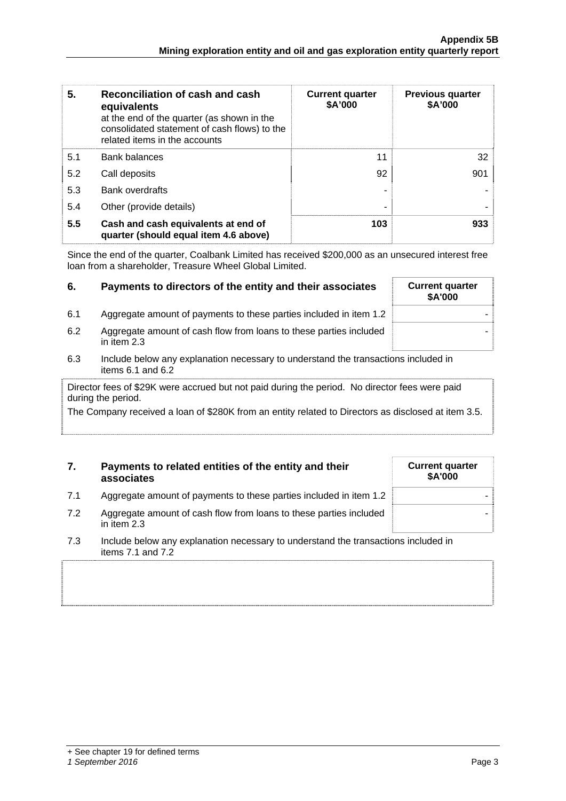| 5.  | Reconciliation of cash and cash<br>equivalents<br>at the end of the quarter (as shown in the<br>consolidated statement of cash flows) to the<br>related items in the accounts | <b>Current quarter</b><br>\$A'000 | <b>Previous quarter</b><br>\$A'000 |
|-----|-------------------------------------------------------------------------------------------------------------------------------------------------------------------------------|-----------------------------------|------------------------------------|
| 5.1 | Bank balances                                                                                                                                                                 | 11                                | 32 <sup>2</sup>                    |
| 5.2 | Call deposits                                                                                                                                                                 | 92                                | 901                                |
| 5.3 | <b>Bank overdrafts</b>                                                                                                                                                        |                                   |                                    |
| 5.4 | Other (provide details)                                                                                                                                                       |                                   |                                    |
| 5.5 | Cash and cash equivalents at end of<br>quarter (should equal item 4.6 above)                                                                                                  | 103                               | 933                                |

Since the end of the quarter, Coalbank Limited has received \$200,000 as an unsecured interest free loan from a shareholder, Treasure Wheel Global Limited.

| 6.  | Payments to directors of the entity and their associates                            | <b>Current quarter</b><br>\$A'000 |
|-----|-------------------------------------------------------------------------------------|-----------------------------------|
| 6.1 | Aggregate amount of payments to these parties included in item 1.2                  |                                   |
| 6.2 | Aggregate amount of cash flow from loans to these parties included<br>in item $2.3$ |                                   |

6.3 Include below any explanation necessary to understand the transactions included in items 6.1 and 6.2

Director fees of \$29K were accrued but not paid during the period. No director fees were paid during the period.

The Company received a loan of \$280K from an entity related to Directors as disclosed at item 3.5.

### **7. Payments to related entities of the entity and their associates**

| <b>Current quarter</b><br>\$A'000 |  |
|-----------------------------------|--|
|                                   |  |
|                                   |  |

- 7.1 Aggregate amount of payments to these parties included in item 1.2
- 7.2 Aggregate amount of cash flow from loans to these parties included in item 2.3
- 7.3 Include below any explanation necessary to understand the transactions included in items 7.1 and 7.2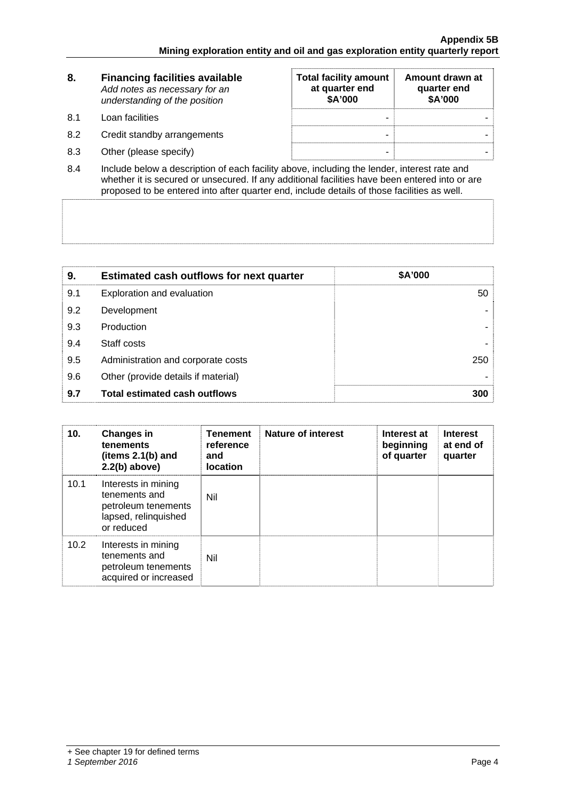| 8.  | <b>Financing facilities available</b><br>Add notes as necessary for an<br>understanding of the position | <b>Total facility amount</b><br>at quarter end<br>\$A'000 | Amount drawn at<br>quarter end<br>\$A'000 |
|-----|---------------------------------------------------------------------------------------------------------|-----------------------------------------------------------|-------------------------------------------|
| 8.1 | Loan facilities                                                                                         | ۰                                                         |                                           |
| 8.2 | Credit standby arrangements                                                                             | -                                                         |                                           |
| 8.3 | Other (please specify)                                                                                  | -                                                         |                                           |

8.4 Include below a description of each facility above, including the lender, interest rate and whether it is secured or unsecured. If any additional facilities have been entered into or are proposed to be entered into after quarter end, include details of those facilities as well.

| 9.  | <b>Estimated cash outflows for next quarter</b> | \$A'000 |
|-----|-------------------------------------------------|---------|
| 9.1 | Exploration and evaluation                      | 50      |
| 9.2 | Development                                     |         |
| 9.3 | Production                                      |         |
| 9.4 | Staff costs                                     |         |
| 9.5 | Administration and corporate costs              | 250     |
| 9.6 | Other (provide details if material)             |         |
| 9.7 | <b>Total estimated cash outflows</b>            | 300     |

| 10.  | <b>Changes in</b><br>tenements<br>(items 2.1(b) and<br>$2.2(b)$ above)                            | <b>Tenement</b><br>reference<br>and<br><b>location</b> | Nature of interest | Interest at<br>beginning<br>of quarter | <b>Interest</b><br>at end of<br>quarter |
|------|---------------------------------------------------------------------------------------------------|--------------------------------------------------------|--------------------|----------------------------------------|-----------------------------------------|
| 10.1 | Interests in mining<br>tenements and<br>petroleum tenements<br>lapsed, relinquished<br>or reduced | Nil                                                    |                    |                                        |                                         |
| 10.2 | Interests in mining<br>tenements and<br>petroleum tenements<br>acquired or increased              | Nil                                                    |                    |                                        |                                         |